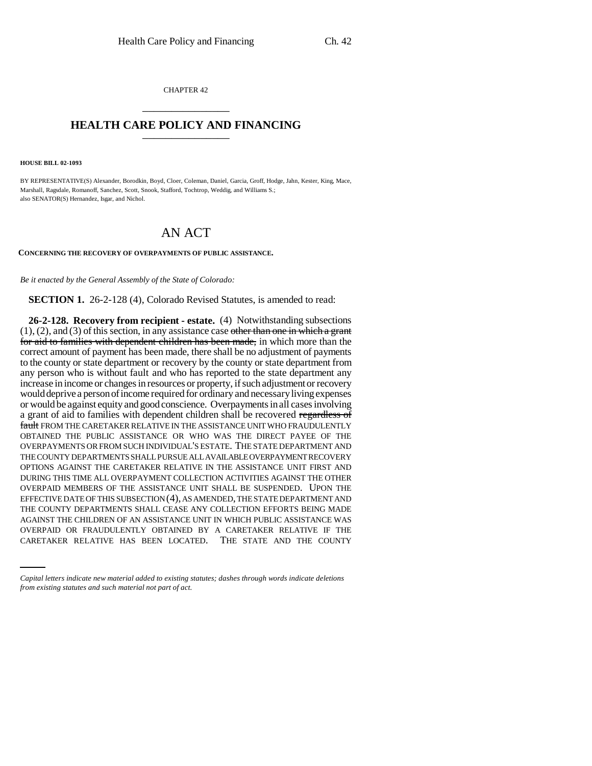CHAPTER 42 \_\_\_\_\_\_\_\_\_\_\_\_\_\_\_

## **HEALTH CARE POLICY AND FINANCING** \_\_\_\_\_\_\_\_\_\_\_\_\_\_\_

**HOUSE BILL 02-1093**

BY REPRESENTATIVE(S) Alexander, Borodkin, Boyd, Cloer, Coleman, Daniel, Garcia, Groff, Hodge, Jahn, Kester, King, Mace, Marshall, Ragsdale, Romanoff, Sanchez, Scott, Snook, Stafford, Tochtrop, Weddig, and Williams S.; also SENATOR(S) Hernandez, Isgar, and Nichol.

## AN ACT

**CONCERNING THE RECOVERY OF OVERPAYMENTS OF PUBLIC ASSISTANCE.**

*Be it enacted by the General Assembly of the State of Colorado:*

**SECTION 1.** 26-2-128 (4), Colorado Revised Statutes, is amended to read:

AGAINST THE CHILDREN OF AN ASSISTANCE UNIT IN WHICH PUBLIC ASSISTANCE WAS **26-2-128. Recovery from recipient - estate.** (4) Notwithstanding subsections  $(1), (2),$  and  $(3)$  of this section, in any assistance case other than one in which a grant for aid to families with dependent children has been made, in which more than the correct amount of payment has been made, there shall be no adjustment of payments to the county or state department or recovery by the county or state department from any person who is without fault and who has reported to the state department any increase in income or changes in resources or property, if such adjustment or recovery would deprive a person of income required for ordinary and necessary living expenses or would be against equity and good conscience. Overpayments in all cases involving a grant of aid to families with dependent children shall be recovered regardless of fault FROM THE CARETAKER RELATIVE IN THE ASSISTANCE UNIT WHO FRAUDULENTLY OBTAINED THE PUBLIC ASSISTANCE OR WHO WAS THE DIRECT PAYEE OF THE OVERPAYMENTS OR FROM SUCH INDIVIDUAL'S ESTATE. THE STATE DEPARTMENT AND THE COUNTY DEPARTMENTS SHALL PURSUE ALL AVAILABLE OVERPAYMENT RECOVERY OPTIONS AGAINST THE CARETAKER RELATIVE IN THE ASSISTANCE UNIT FIRST AND DURING THIS TIME ALL OVERPAYMENT COLLECTION ACTIVITIES AGAINST THE OTHER OVERPAID MEMBERS OF THE ASSISTANCE UNIT SHALL BE SUSPENDED. UPON THE EFFECTIVE DATE OF THIS SUBSECTION (4), AS AMENDED, THE STATE DEPARTMENT AND THE COUNTY DEPARTMENTS SHALL CEASE ANY COLLECTION EFFORTS BEING MADE OVERPAID OR FRAUDULENTLY OBTAINED BY A CARETAKER RELATIVE IF THE CARETAKER RELATIVE HAS BEEN LOCATED. THE STATE AND THE COUNTY

*Capital letters indicate new material added to existing statutes; dashes through words indicate deletions from existing statutes and such material not part of act.*